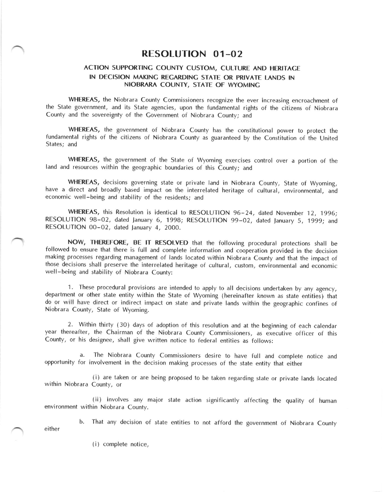## RESOLUTION O1-02

## ACTION SUPPORTINC COUNTY CUSTOM, CULTURE AND HERITACE IN DECISION MAKINC RECARDINC STATE OR PRIVATE LANDS IN NIOBRARA COUNTY, STATE OF WYOMINC

WHEREAS, the Niobrara County Commissioners recognize the ever increasing encroachment of the State government, and its State agencies, upon the fundamental rights of the citizens of Niobrara County and the sovereignty of the Government of Niobrara County; and

WHEREAS, the government of Niobrara County has the constitutional power to protect the fundamental rights of the citizens of Niobrara County as guaranteed by the Constitution of the United States; and

WHEREAS, the government of the State of Wyoming exercises control over a portion of the land and resources within the geographic boundaries of this County; and

.<br>.<br>. WHEREAS, decisions governing state or private land in Niobrara County, State of Wyoming, have a direct and broadly based impact on the interrelated heritage of cultural, environmental, and economic well-being and stability of the residents; and

WHEREAS, this Resolution is identical to RESOLUTION 96-24, dated November 12, 1996; RESOLUTION 98-02, dated January 6, 1998; RESOLUTION 99-02, dated January 5, 1999; and RESOLUTION 00-02, dated lanuary 4, 2000.

NOW, THEREFORE, BE lT RESOLVED that the following procedural protections shall be followed to ensure that there is full and complete information and cooperation provided in the decision making processes regarding management of lands located within Niobrara County and that the impact of those decisions shall preserve the interrelated heritage of cultural, custom, environmental and economic well-being and stability of Niobrara County:

1. These procedural provisions are intended to apply to all decisions undertaken by any agency, department or other state entity within the State of Wyoming (hereinafter known as state entities) that do or will have direct or indirect impact on state and private lands within the geographic confines of Niobrara County, State of Wyoming.

. 2. Within thirty (30) days of adoption of this resolution and at the beginning of each calendar year thereafter, the Chairman of the Niobrara County Commissioners, as executive officer of this County, or his designee, shall give written notice to federal entities as follows:

a. The Niobrara County Commissioners desire to have full and complete notice and opportunity for involvement in the decision making processes of the state entity that either

(i) are taken or are being proposed to be taken regarding state or private lands located within Niobrara County, or

(ii) involves any maior state action significantly affecting the quality of human environment within Niobrara County.

b. That any decision of state entities to not afford the government of Niobrara County

. either

(i) complete notice,